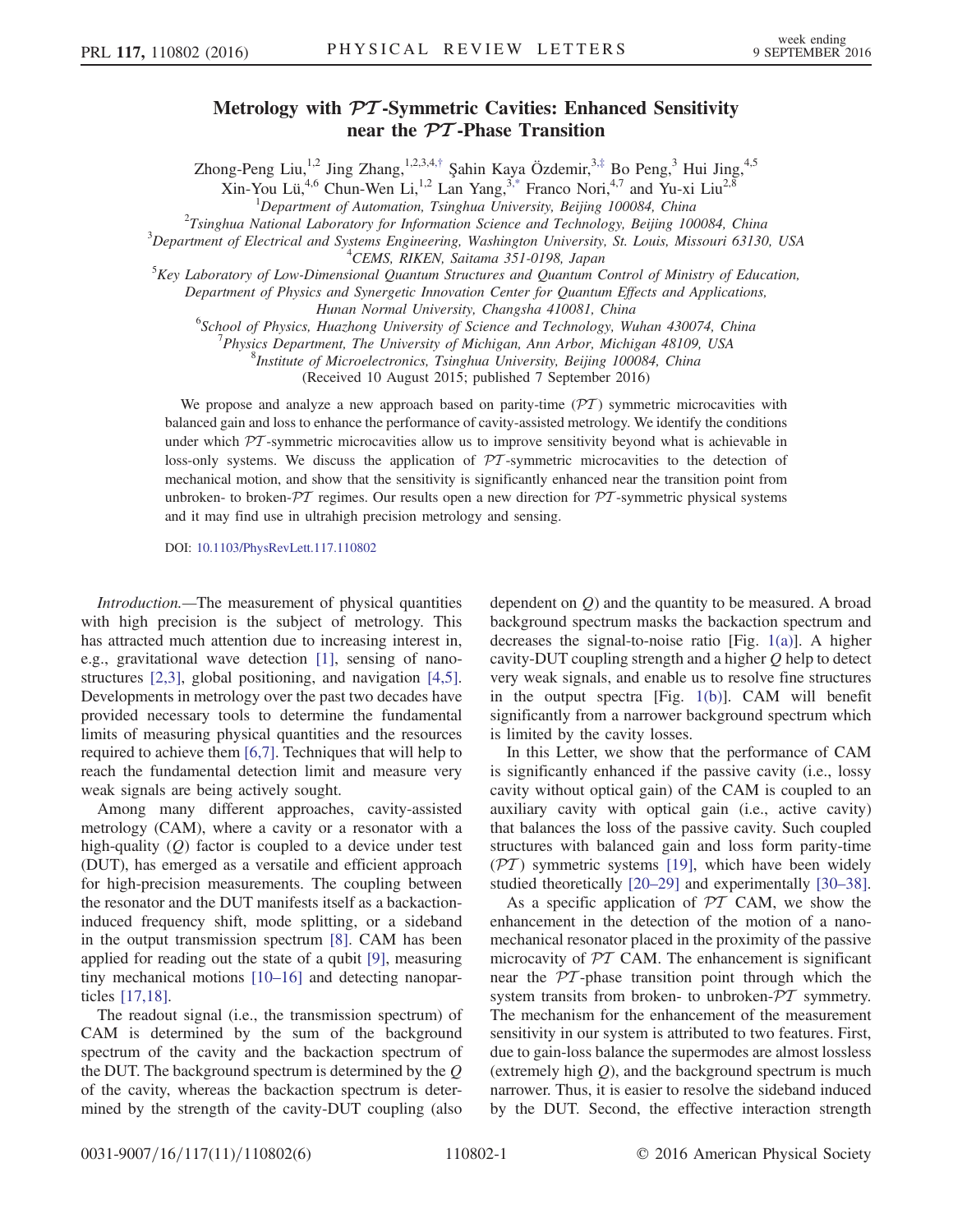## Metrology with  $\mathcal{P}\mathcal{T}$ -Symmetric Cavities: Enhanced Sensitivity near the PT -Phase Transition

Zhong-Peng Liu,<sup>1,2</sup> Jing Zhang,<sup>1,2,3,4,[†](#page-4-0)</sup> Şahin Kaya Özdemir,<sup>3,[‡](#page-4-1)</sup> Bo Peng,<sup>3</sup> Hui Jing,<sup>4,5</sup>

Xin-You Lü,<sup>4,6</sup> Chun-Wen Li,<sup>1,2</sup> Lan Yang,<sup>[3,\\*](#page-4-2)</sup> Franco Nori,<sup>4,7</sup> and Yu-xi Liu<sup>2,8</sup><br>Department of Automation, Tsinghua University, Beijing 100084, China<br><sup>2</sup>Tsinghua National Laboratory for Information Science and Techn

<span id="page-0-1"></span> $^{2}$ Tsinghua National Laboratory for Information Science and Technology, Beijing 100084, China

<span id="page-0-0"></span><sup>3</sup>Department of Electrical and Systems Engineering, Washington University, St. Louis, Missouri 63130, USA  $4$ CEMS, RIKEN, Saitama 351-0198, Japan

<sup>5</sup>CEMS, RIKEN, Saitama 351-0198, Japan<br><sup>5</sup>Key Laboratory of Low-Dimensional Quantum Structures and Quantum Control of Ministry of Education,

Department of Physics and Synergetic Innovation Center for Quantum Effects and Applications, Hunan Normal University, Changsha 410081, China <sup>6</sup>

 $6$ School of Physics, Huazhong University of Science and Technology, Wuhan 430074, China

Physics Department, The University of Michigan, Ann Arbor, Michigan 48109, USA <sup>8</sup>

<sup>8</sup>Institute of Microelectronics, Tsinghua University, Beijing 100084, China

(Received 10 August 2015; published 7 September 2016)

We propose and analyze a new approach based on parity-time  $(\mathcal{PT})$  symmetric microcavities with balanced gain and loss to enhance the performance of cavity-assisted metrology. We identify the conditions under which  $PT$ -symmetric microcavities allow us to improve sensitivity beyond what is achievable in loss-only systems. We discuss the application of  $\mathcal{PT}$ -symmetric microcavities to the detection of mechanical motion, and show that the sensitivity is significantly enhanced near the transition point from unbroken- to broken- $\mathcal{P}\mathcal{T}$  regimes. Our results open a new direction for  $\mathcal{P}\mathcal{T}$ -symmetric physical systems and it may find use in ultrahigh precision metrology and sensing.

DOI: [10.1103/PhysRevLett.117.110802](http://dx.doi.org/10.1103/PhysRevLett.117.110802)

Introduction.—The measurement of physical quantities with high precision is the subject of metrology. This has attracted much attention due to increasing interest in, e.g., gravitational wave detection [\[1\],](#page-4-3) sensing of nanostructures [\[2,3\]](#page-4-4), global positioning, and navigation [\[4,5\]](#page-4-5). Developments in metrology over the past two decades have provided necessary tools to determine the fundamental limits of measuring physical quantities and the resources required to achieve them [\[6,7\].](#page-4-6) Techniques that will help to reach the fundamental detection limit and measure very weak signals are being actively sought.

Among many different approaches, cavity-assisted metrology (CAM), where a cavity or a resonator with a high-quality  $(Q)$  factor is coupled to a device under test (DUT), has emerged as a versatile and efficient approach for high-precision measurements. The coupling between the resonator and the DUT manifests itself as a backactioninduced frequency shift, mode splitting, or a sideband in the output transmission spectrum [\[8\].](#page-4-7) CAM has been applied for reading out the state of a qubit [\[9\],](#page-4-8) measuring tiny mechanical motions [\[10](#page-4-9)–16] and detecting nanoparticles [\[17,18\].](#page-4-10)

The readout signal (i.e., the transmission spectrum) of CAM is determined by the sum of the background spectrum of the cavity and the backaction spectrum of the DUT. The background spectrum is determined by the Q of the cavity, whereas the backaction spectrum is determined by the strength of the cavity-DUT coupling (also dependent on  $\ddot{O}$  and the quantity to be measured. A broad background spectrum masks the backaction spectrum and decreases the signal-to-noise ratio [Fig. [1\(a\)\]](#page-1-0). A higher cavity-DUT coupling strength and a higher Q help to detect very weak signals, and enable us to resolve fine structures in the output spectra [Fig. [1\(b\)](#page-1-0)]. CAM will benefit significantly from a narrower background spectrum which is limited by the cavity losses.

In this Letter, we show that the performance of CAM is significantly enhanced if the passive cavity (i.e., lossy cavity without optical gain) of the CAM is coupled to an auxiliary cavity with optical gain (i.e., active cavity) that balances the loss of the passive cavity. Such coupled structures with balanced gain and loss form parity-time  $(\mathcal{P}T)$  symmetric systems [\[19\]](#page-4-11), which have been widely studied theoretically [20–[29\]](#page-4-12) and experimentally [\[30](#page-5-0)–38].

As a specific application of  $\mathcal{P} \mathcal{T}$  CAM, we show the enhancement in the detection of the motion of a nanomechanical resonator placed in the proximity of the passive microcavity of PT CAM. The enhancement is significant near the  $\mathcal{P}T$ -phase transition point through which the system transits from broken- to unbroken- $\mathcal{P}\mathcal{T}$  symmetry. The mechanism for the enhancement of the measurement sensitivity in our system is attributed to two features. First, due to gain-loss balance the supermodes are almost lossless (extremely high Q), and the background spectrum is much narrower. Thus, it is easier to resolve the sideband induced by the DUT. Second, the effective interaction strength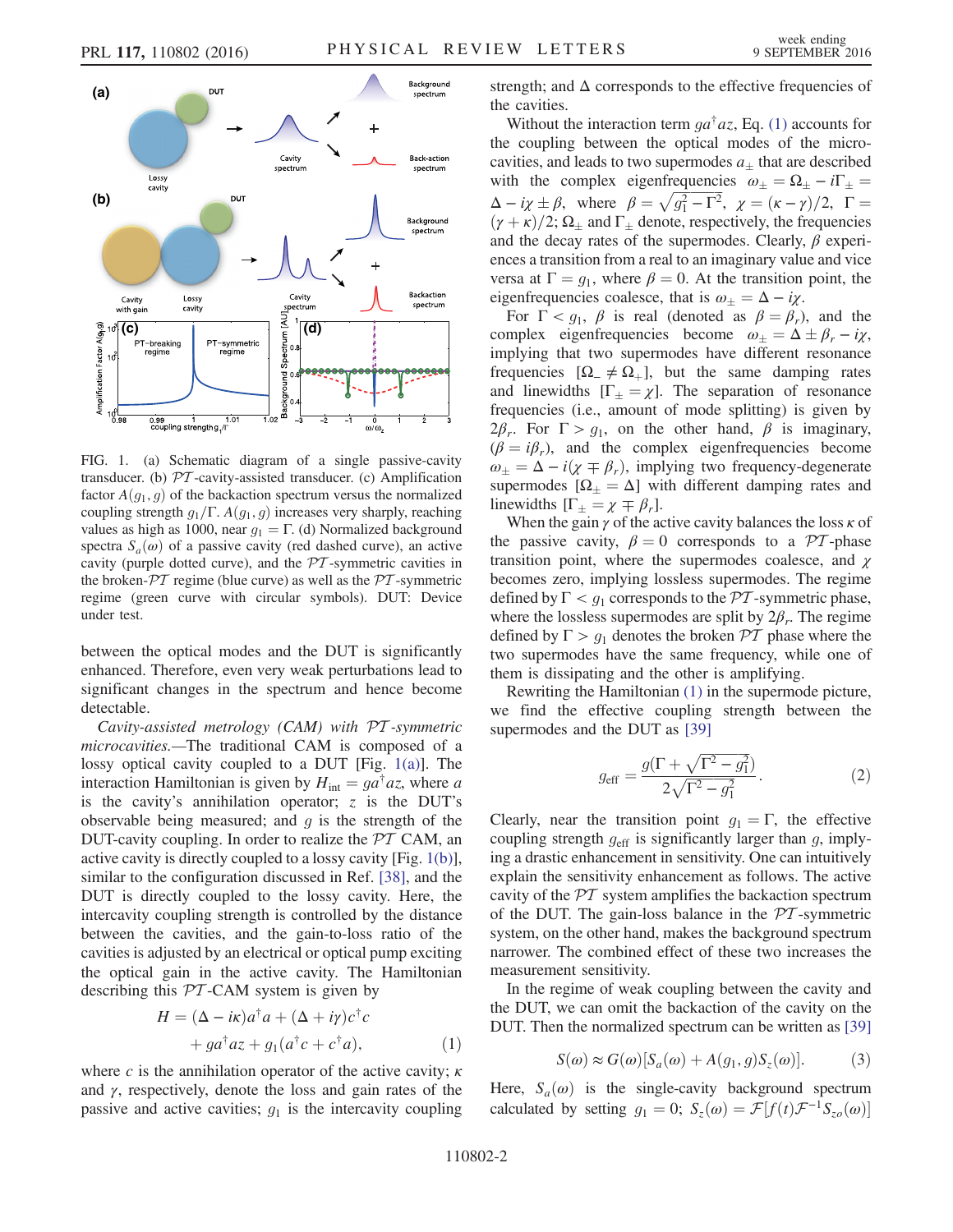<span id="page-1-0"></span>

FIG. 1. (a) Schematic diagram of a single passive-cavity transducer. (b) PT -cavity-assisted transducer. (c) Amplification factor  $A(g_1, g)$  of the backaction spectrum versus the normalized coupling strength  $g_1/\Gamma$ .  $A(g_1, g)$  increases very sharply, reaching values as high as 1000, near  $g_1 = \Gamma$ . (d) Normalized background spectra  $S_a(\omega)$  of a passive cavity (red dashed curve), an active cavity (purple dotted curve), and the  $PT$ -symmetric cavities in the broken- $\mathcal{P}\mathcal{T}$  regime (blue curve) as well as the  $\mathcal{P}\mathcal{T}$ -symmetric regime (green curve with circular symbols). DUT: Device under test.

between the optical modes and the DUT is significantly enhanced. Therefore, even very weak perturbations lead to significant changes in the spectrum and hence become detectable.

Cavity-assisted metrology (CAM) with PT -symmetric microcavities.—The traditional CAM is composed of a lossy optical cavity coupled to a DUT [Fig. [1\(a\)\]](#page-1-0). The interaction Hamiltonian is given by  $H_{int} = ga^{\dagger}az$ , where a is the cavity's annihilation operator;  $z$  is the DUT's observable being measured; and  $g$  is the strength of the DUT-cavity coupling. In order to realize the  $\mathcal{PT}$  CAM, an active cavity is directly coupled to a lossy cavity [Fig. [1\(b\)](#page-1-0)], similar to the configuration discussed in Ref. [\[38\],](#page-5-1) and the DUT is directly coupled to the lossy cavity. Here, the intercavity coupling strength is controlled by the distance between the cavities, and the gain-to-loss ratio of the cavities is adjusted by an electrical or optical pump exciting the optical gain in the active cavity. The Hamiltonian describing this  $PT$ -CAM system is given by

<span id="page-1-1"></span>
$$
H = (\Delta - i\kappa)a^{\dagger}a + (\Delta + i\gamma)c^{\dagger}c
$$
  
+  $ga^{\dagger}az + g_1(a^{\dagger}c + c^{\dagger}a),$  (1)

where c is the annihilation operator of the active cavity;  $\kappa$ and  $\gamma$ , respectively, denote the loss and gain rates of the passive and active cavities;  $g_1$  is the intercavity coupling strength; and  $\Delta$  corresponds to the effective frequencies of the cavities.

Without the interaction term  $g a^{\dagger} a z$ , Eq. [\(1\)](#page-1-1) accounts for the coupling between the optical modes of the microcavities, and leads to two supermodes  $a_{\pm}$  that are described<br>with the complex eigenfrequencies  $a_{\pm} = Q_{\pm} - i\Gamma_{\pm} =$ with the complex eigenfrequencies  $\omega_{\pm} = \Omega_{\pm} - i\Gamma_{\pm} =$  $\Delta - i\chi \pm \beta$ , where  $\beta = \sqrt{g_1^2 - \Gamma^2}$ ,  $\chi = (\kappa - \gamma)/2$ ,  $\Gamma = (\gamma + \kappa)/2$ ; O, and  $\Gamma$ , denote respectively the frequencies  $(\gamma + \kappa)/2$ ;  $\Omega_{\pm}$  and  $\Gamma_{\pm}$  denote, respectively, the frequencies<br>and the decay rates of the supermodes. Clearly, *B* experiand the decay rates of the supermodes. Clearly,  $\beta$  experiences a transition from a real to an imaginary value and vice versa at  $\Gamma = g_1$ , where  $\beta = 0$ . At the transition point, the eigenfrequencies coalesce, that is  $\omega_{\pm} = \Delta - i\chi$ .<br>For  $\Gamma < \omega_1$ ,  $\beta$  is real (denoted as  $\beta = \beta$ )

For  $\Gamma < g_1$ ,  $\beta$  is real (denoted as  $\beta = \beta_r$ ), and the complex eigenfrequencies become  $\omega_{\pm} = \Delta \pm \beta_r - i\chi$ ,<br>implying that two supermodes have different resonance implying that two supermodes have different resonance frequencies  $[\Omega_{-} \neq \Omega_{+}]$ , but the same damping rates and linewidths  $[\Gamma_{\pm} = \chi]$ . The separation of resonance frequencies (i.e., amount of mode splitting) is given by  $2\beta_r$ . For  $\Gamma > g_1$ , on the other hand,  $\beta$  is imaginary,  $(\beta = i\beta_r)$ , and the complex eigenfrequencies become  $\omega_{\pm} = \Delta - i(\chi \mp \beta_r)$ , implying two frequency-degenerate<br>supermodes  $[0, -\Delta]$  with different damning rates and supermodes  $[\Omega_{\pm} = \Delta]$  with different damping rates and linewidths  $[\Gamma_{\pm} = \chi \mp \beta_r]$ .<br>When the gain x of the 30

When the gain  $\gamma$  of the active cavity balances the loss  $\kappa$  of the passive cavity,  $\beta = 0$  corresponds to a PT-phase transition point, where the supermodes coalesce, and  $\chi$ becomes zero, implying lossless supermodes. The regime defined by  $\Gamma < g_1$  corresponds to the PT-symmetric phase, where the lossless supermodes are split by  $2\beta_r$ . The regime defined by  $\Gamma > q_1$  denotes the broken  $\mathcal{P}\mathcal{T}$  phase where the two supermodes have the same frequency, while one of them is dissipating and the other is amplifying.

<span id="page-1-3"></span>Rewriting the Hamiltonian [\(1\)](#page-1-1) in the supermode picture, we find the effective coupling strength between the supermodes and the DUT as [\[39\]](#page-5-2)

$$
g_{\rm eff} = \frac{g(\Gamma + \sqrt{\Gamma^2 - g_1^2})}{2\sqrt{\Gamma^2 - g_1^2}}.
$$
 (2)

Clearly, near the transition point  $g_1 = \Gamma$ , the effective coupling strength  $g<sub>eff</sub>$  is significantly larger than g, implying a drastic enhancement in sensitivity. One can intuitively explain the sensitivity enhancement as follows. The active cavity of the  $PT$  system amplifies the backaction spectrum of the DUT. The gain-loss balance in the  $PT$ -symmetric system, on the other hand, makes the background spectrum narrower. The combined effect of these two increases the measurement sensitivity.

<span id="page-1-2"></span>In the regime of weak coupling between the cavity and the DUT, we can omit the backaction of the cavity on the DUT. Then the normalized spectrum can be written as [\[39\]](#page-5-2)

$$
S(\omega) \approx G(\omega)[S_a(\omega) + A(g_1, g)S_z(\omega)].
$$
 (3)

Here,  $S_a(\omega)$  is the single-cavity background spectrum calculated by setting  $g_1 = 0$ ;  $S_z(\omega) = \mathcal{F}[f(t)\mathcal{F}^{-1}S_{z0}(\omega)]$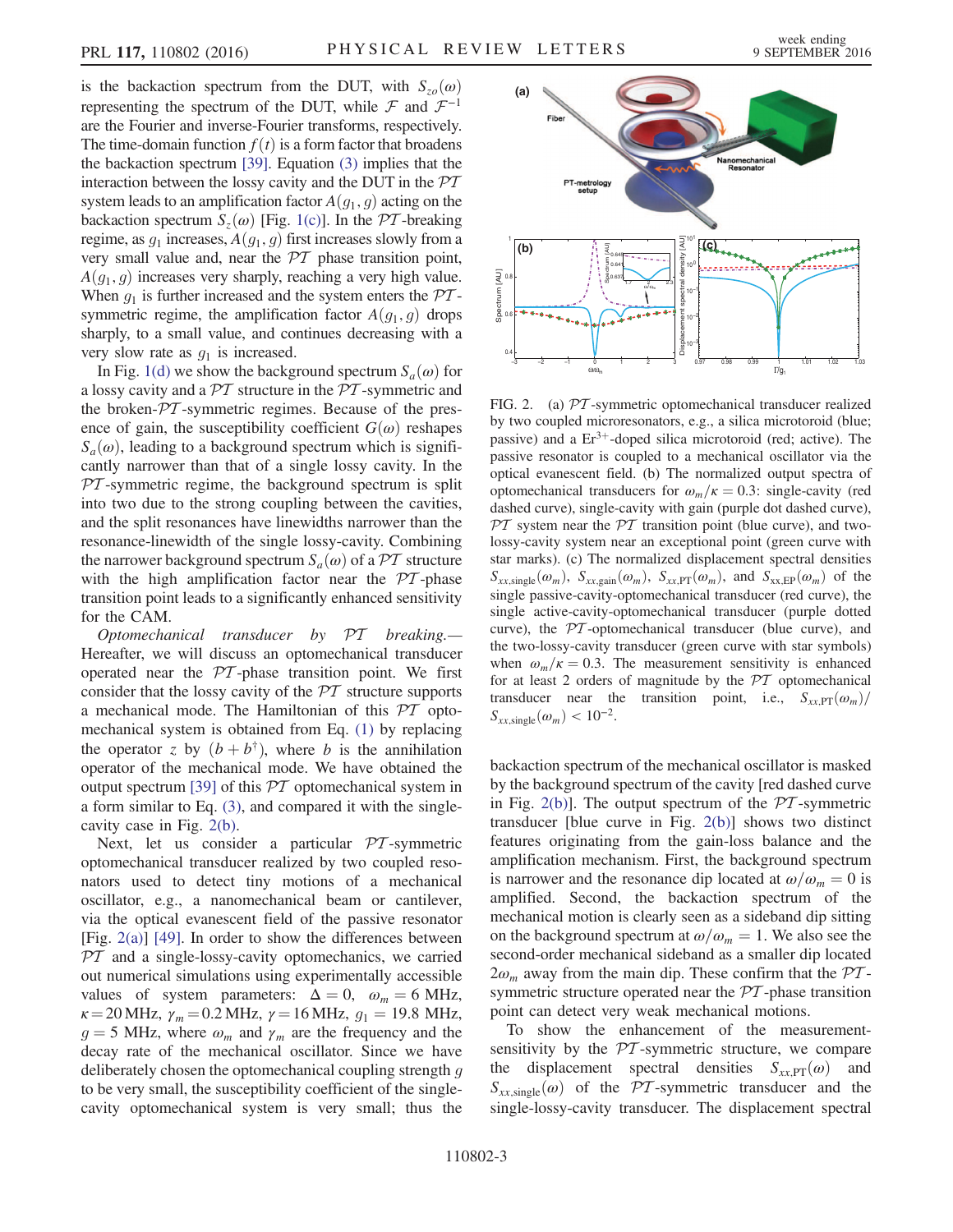is the backaction spectrum from the DUT, with  $S_{z0}(\omega)$ representing the spectrum of the DUT, while  $\mathcal F$  and  $\mathcal F^{-1}$ are the Fourier and inverse-Fourier transforms, respectively. The time-domain function  $f(t)$  is a form factor that broadens the backaction spectrum [\[39\]](#page-5-2). Equation [\(3\)](#page-1-2) implies that the interaction between the lossy cavity and the DUT in the  $\mathcal{PT}$ system leads to an amplification factor  $A(g_1, g)$  acting on the backaction spectrum  $S_z(\omega)$  [Fig. [1\(c\)](#page-1-0)]. In the PT-breaking regime, as  $g_1$  increases,  $A(g_1, g)$  first increases slowly from a very small value and, near the  $\mathcal{P}\mathcal{T}$  phase transition point,  $A(g_1, g)$  increases very sharply, reaching a very high value. When  $g_1$  is further increased and the system enters the  $\mathcal{P}\mathcal{T}$ symmetric regime, the amplification factor  $A(g_1, g)$  drops sharply, to a small value, and continues decreasing with a very slow rate as  $q_1$  is increased.

In Fig. [1\(d\)](#page-1-0) we show the background spectrum  $S_a(\omega)$  for a lossy cavity and a  $\mathcal{P}\mathcal{T}$  structure in the  $\mathcal{P}\mathcal{T}$ -symmetric and the broken- $\mathcal{P}\mathcal{T}$ -symmetric regimes. Because of the presence of gain, the susceptibility coefficient  $G(\omega)$  reshapes  $S_a(\omega)$ , leading to a background spectrum which is significantly narrower than that of a single lossy cavity. In the  $PT$ -symmetric regime, the background spectrum is split into two due to the strong coupling between the cavities, and the split resonances have linewidths narrower than the resonance-linewidth of the single lossy-cavity. Combining the narrower background spectrum  $S_a(\omega)$  of a  $\mathcal{P}T$  structure with the high amplification factor near the  $\mathcal{P}T$ -phase transition point leads to a significantly enhanced sensitivity for the CAM.

Optomechanical transducer by  $\mathcal{PT}$  breaking.— Hereafter, we will discuss an optomechanical transducer operated near the  $\mathcal{P}T$ -phase transition point. We first consider that the lossy cavity of the  $\mathcal{P}\mathcal{T}$  structure supports a mechanical mode. The Hamiltonian of this  $\mathcal{P}\mathcal{T}$  optomechanical system is obtained from Eq. [\(1\)](#page-1-1) by replacing the operator z by  $(b+b^{\dagger})$ , where b is the annihilation operator of the mechanical mode. We have obtained the output spectrum [\[39\]](#page-5-2) of this  $\mathcal{P}\mathcal{T}$  optomechanical system in a form similar to Eq. [\(3\),](#page-1-2) and compared it with the singlecavity case in Fig. [2\(b\).](#page-2-0)

Next, let us consider a particular PT-symmetric optomechanical transducer realized by two coupled resonators used to detect tiny motions of a mechanical oscillator, e.g., a nanomechanical beam or cantilever, via the optical evanescent field of the passive resonator [Fig. [2\(a\)](#page-2-0)] [\[49\]](#page-5-3). In order to show the differences between  $PT$  and a single-lossy-cavity optomechanics, we carried out numerical simulations using experimentally accessible values of system parameters:  $\Delta = 0$ ,  $\omega_m = 6$  MHz,  $\kappa = 20$  MHz,  $\gamma_m = 0.2$  MHz,  $\gamma = 16$  MHz,  $g_1 = 19.8$  MHz,  $g = 5$  MHz, where  $\omega_m$  and  $\gamma_m$  are the frequency and the decay rate of the mechanical oscillator. Since we have deliberately chosen the optomechanical coupling strength g to be very small, the susceptibility coefficient of the singlecavity optomechanical system is very small; thus the

<span id="page-2-0"></span>

FIG. 2. (a) PT -symmetric optomechanical transducer realized by two coupled microresonators, e.g., a silica microtoroid (blue; passive) and a  $Er^{3+}$ -doped silica microtoroid (red; active). The passive resonator is coupled to a mechanical oscillator via the optical evanescent field. (b) The normalized output spectra of optomechanical transducers for  $\omega_m/\kappa = 0.3$ : single-cavity (red dashed curve), single-cavity with gain (purple dot dashed curve),  $PT$  system near the  $PT$  transition point (blue curve), and twolossy-cavity system near an exceptional point (green curve with star marks). (c) The normalized displacement spectral densities  $S_{xx,\text{single}}(\omega_m)$ ,  $S_{xx,\text{gain}}(\omega_m)$ ,  $S_{xx,\text{PT}}(\omega_m)$ , and  $S_{xx,\text{EP}}(\omega_m)$  of the single passive-cavity-optomechanical transducer (red curve), the single active-cavity-optomechanical transducer (purple dotted curve), the PT -optomechanical transducer (blue curve), and the two-lossy-cavity transducer (green curve with star symbols) when  $\omega_m/\kappa = 0.3$ . The measurement sensitivity is enhanced for at least 2 orders of magnitude by the  $\mathcal{P} \mathcal{T}$  optomechanical transducer near the transition point, i.e.,  $S_{xx,PT}(\omega_m)/$  $S_{xx,\text{single}}(\omega_m) < 10^{-2}$ .

backaction spectrum of the mechanical oscillator is masked by the background spectrum of the cavity [red dashed curve in Fig. [2\(b\)\]](#page-2-0). The output spectrum of the  $\mathcal{P}T$ -symmetric transducer [blue curve in Fig. [2\(b\)](#page-2-0)] shows two distinct features originating from the gain-loss balance and the amplification mechanism. First, the background spectrum is narrower and the resonance dip located at  $\omega/\omega_m = 0$  is amplified. Second, the backaction spectrum of the mechanical motion is clearly seen as a sideband dip sitting on the background spectrum at  $\omega/\omega_m = 1$ . We also see the second-order mechanical sideband as a smaller dip located  $2\omega_m$  away from the main dip. These confirm that the  $\mathcal{P}\mathcal{T}$ symmetric structure operated near the  $\mathcal{P}\mathcal{T}$ -phase transition point can detect very weak mechanical motions.

To show the enhancement of the measurementsensitivity by the  $PT$ -symmetric structure, we compare the displacement spectral densities  $S_{xx,PT}(\omega)$  and  $S_{xx, single}(\omega)$  of the PT-symmetric transducer and the single-lossy-cavity transducer. The displacement spectral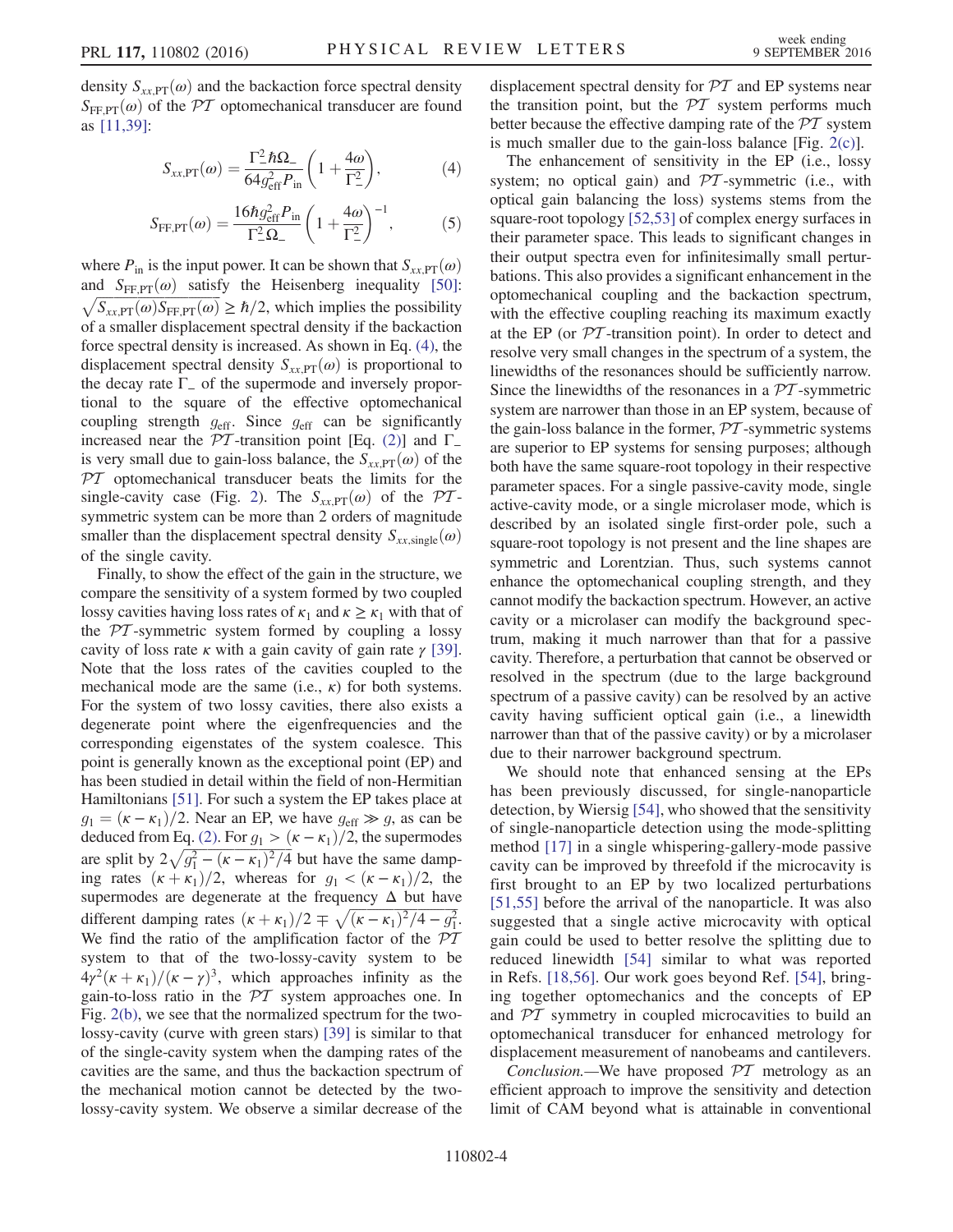<span id="page-3-0"></span>density  $S_{xx,PT}(\omega)$  and the backaction force spectral density  $S_{\text{FF,PT}}(\omega)$  of the PT optomechanical transducer are found as [\[11,39\]:](#page-4-13)

$$
S_{xx,\text{PT}}(\omega) = \frac{\Gamma_-^2 \hbar \Omega_-}{64 g_{\text{eff}}^2 P_{\text{in}}} \left( 1 + \frac{4\omega}{\Gamma_-^2} \right),\tag{4}
$$

$$
S_{\text{FF,PT}}(\omega) = \frac{16\hbar g_{\text{eff}}^2 P_{\text{in}}}{\Gamma_-^2 \Omega_-} \left(1 + \frac{4\omega}{\Gamma_-^2}\right)^{-1},\tag{5}
$$

where  $P_{\text{in}}$  is the input power. It can be shown that  $S_{xx,PT}(\omega)$ and  $S_{\text{FF,PT}}(\omega)$  satisfy the Heisenberg inequality [\[50\]](#page-5-4):  $\sqrt{S_{xx,PT}(\omega)S_{FF,PT}(\omega)} \ge \hbar/2$ , which implies the possibility of a smaller displacement spectral density if the backaction force spectral density is increased. As shown in Eq. [\(4\)](#page-3-0), the displacement spectral density  $S_{xx,PT}(\omega)$  is proportional to the decay rate  $\Gamma_-\$  of the supermode and inversely proportional to the square of the effective optomechanical coupling strength  $g_{\text{eff}}$ . Since  $g_{\text{eff}}$  can be significantly increased near the  $\mathcal{P}\mathcal{T}$ -transition point [Eq. [\(2\)\]](#page-1-3) and  $\Gamma_{-}$ is very small due to gain-loss balance, the  $S_{xx,PT}(\omega)$  of the  $PT$  optomechanical transducer beats the limits for the single-cavity case (Fig. [2](#page-2-0)). The  $S_{xx,PT}(\omega)$  of the  $\mathcal{PT}$ symmetric system can be more than 2 orders of magnitude smaller than the displacement spectral density  $S_{xx,\text{single}}(\omega)$ of the single cavity.

Finally, to show the effect of the gain in the structure, we compare the sensitivity of a system formed by two coupled lossy cavities having loss rates of  $\kappa_1$  and  $\kappa \geq \kappa_1$  with that of the  $PT$ -symmetric system formed by coupling a lossy cavity of loss rate  $\kappa$  with a gain cavity of gain rate  $\gamma$  [\[39\]](#page-5-2). Note that the loss rates of the cavities coupled to the mechanical mode are the same (i.e.,  $\kappa$ ) for both systems. For the system of two lossy cavities, there also exists a degenerate point where the eigenfrequencies and the corresponding eigenstates of the system coalesce. This point is generally known as the exceptional point (EP) and has been studied in detail within the field of non-Hermitian Hamiltonians [\[51\].](#page-5-5) For such a system the EP takes place at  $g_1 = (\kappa - \kappa_1)/2$ . Near an EP, we have  $g_{\text{eff}} \gg g$ , as can be deduced from Eq. [\(2\).](#page-1-3) For  $g_1 > (\kappa - \kappa_1)/2$ , the supermodes are split by  $2\sqrt{g_1^2 - (\kappa - \kappa_1)^2/4}$  but have the same damp-<br>ing rates  $(\kappa + \kappa_1)/2$  whereas for  $g_1 \le (\kappa - \kappa_1)/2$  the ing rates  $(\kappa + \kappa_1)/2$ , whereas for  $g_1 < (\kappa - \kappa_1)/2$ , the supermodes are degenerate at the frequency  $\Delta$  but have different damping rates  $(k + \kappa_1)/2 \mp \sqrt{(k - \kappa_1)^2/4 - g_1^2}$ .<br>We find the ratio of the amplification factor of the  $\mathcal{PT}$ We find the ratio of the amplification factor of the  $PT$ system to that of the two-lossy-cavity system to be  $4\gamma^2(\kappa+\kappa_1)/(\kappa-\gamma)^3$ , which approaches infinity as the gain-to-loss ratio in the  $\mathcal{P}\mathcal{T}$  system approaches one. In Fig. [2\(b\)](#page-2-0), we see that the normalized spectrum for the twolossy-cavity (curve with green stars) [\[39\]](#page-5-2) is similar to that of the single-cavity system when the damping rates of the cavities are the same, and thus the backaction spectrum of the mechanical motion cannot be detected by the twolossy-cavity system. We observe a similar decrease of the displacement spectral density for  $\mathcal{P}\mathcal{T}$  and EP systems near the transition point, but the  $\mathcal{P} \mathcal{T}$  system performs much better because the effective damping rate of the  $\mathcal{P}\mathcal{T}$  system is much smaller due to the gain-loss balance [Fig.  $2(c)$ ].

The enhancement of sensitivity in the EP (i.e., lossy system; no optical gain) and  $\mathcal{P}\mathcal{T}$ -symmetric (i.e., with optical gain balancing the loss) systems stems from the square-root topology [\[52,53\]](#page-5-6) of complex energy surfaces in their parameter space. This leads to significant changes in their output spectra even for infinitesimally small perturbations. This also provides a significant enhancement in the optomechanical coupling and the backaction spectrum, with the effective coupling reaching its maximum exactly at the EP (or  $PT$ -transition point). In order to detect and resolve very small changes in the spectrum of a system, the linewidths of the resonances should be sufficiently narrow. Since the linewidths of the resonances in a  $\mathcal{P}\mathcal{T}$ -symmetric system are narrower than those in an EP system, because of the gain-loss balance in the former,  $\mathcal{P}\mathcal{T}$ -symmetric systems are superior to EP systems for sensing purposes; although both have the same square-root topology in their respective parameter spaces. For a single passive-cavity mode, single active-cavity mode, or a single microlaser mode, which is described by an isolated single first-order pole, such a square-root topology is not present and the line shapes are symmetric and Lorentzian. Thus, such systems cannot enhance the optomechanical coupling strength, and they cannot modify the backaction spectrum. However, an active cavity or a microlaser can modify the background spectrum, making it much narrower than that for a passive cavity. Therefore, a perturbation that cannot be observed or resolved in the spectrum (due to the large background spectrum of a passive cavity) can be resolved by an active cavity having sufficient optical gain (i.e., a linewidth narrower than that of the passive cavity) or by a microlaser due to their narrower background spectrum.

We should note that enhanced sensing at the EPs has been previously discussed, for single-nanoparticle detection, by Wiersig [\[54\]](#page-5-7), who showed that the sensitivity of single-nanoparticle detection using the mode-splitting method [\[17\]](#page-4-10) in a single whispering-gallery-mode passive cavity can be improved by threefold if the microcavity is first brought to an EP by two localized perturbations [\[51,55\]](#page-5-5) before the arrival of the nanoparticle. It was also suggested that a single active microcavity with optical gain could be used to better resolve the splitting due to reduced linewidth [\[54\]](#page-5-7) similar to what was reported in Refs. [\[18,56\].](#page-4-14) Our work goes beyond Ref. [\[54\]](#page-5-7), bringing together optomechanics and the concepts of EP and  $\mathcal{P}\mathcal{T}$  symmetry in coupled microcavities to build an optomechanical transducer for enhanced metrology for displacement measurement of nanobeams and cantilevers.

*Conclusion.*—We have proposed  $\mathcal{P}\mathcal{T}$  metrology as an efficient approach to improve the sensitivity and detection limit of CAM beyond what is attainable in conventional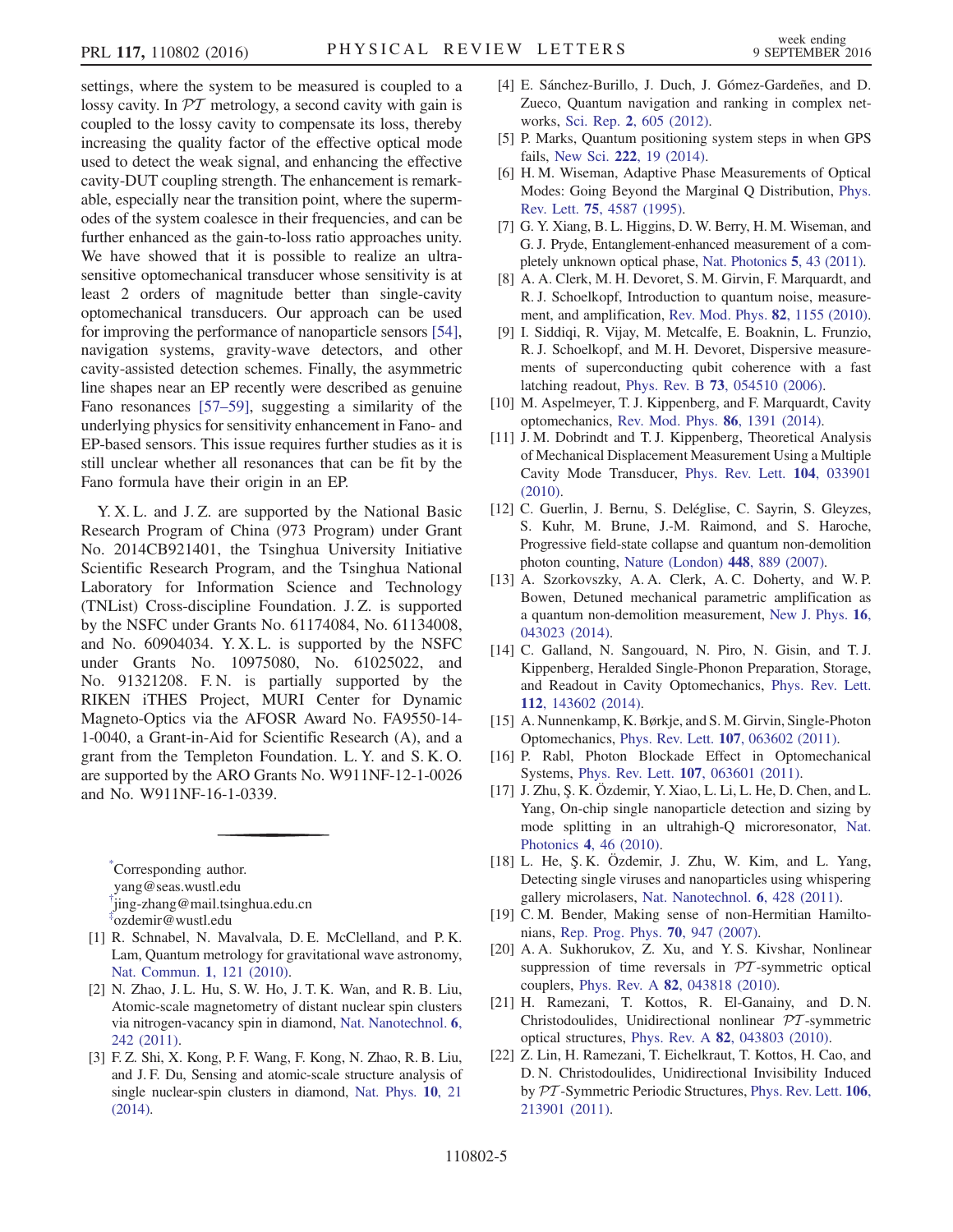settings, where the system to be measured is coupled to a lossy cavity. In  $\mathcal{P}\mathcal{T}$  metrology, a second cavity with gain is coupled to the lossy cavity to compensate its loss, thereby increasing the quality factor of the effective optical mode used to detect the weak signal, and enhancing the effective cavity-DUT coupling strength. The enhancement is remarkable, especially near the transition point, where the supermodes of the system coalesce in their frequencies, and can be further enhanced as the gain-to-loss ratio approaches unity. We have showed that it is possible to realize an ultrasensitive optomechanical transducer whose sensitivity is at least 2 orders of magnitude better than single-cavity optomechanical transducers. Our approach can be used for improving the performance of nanoparticle sensors [\[54\]](#page-5-7), navigation systems, gravity-wave detectors, and other cavity-assisted detection schemes. Finally, the asymmetric line shapes near an EP recently were described as genuine Fano resonances [\[57](#page-5-8)–59], suggesting a similarity of the underlying physics for sensitivity enhancement in Fano- and EP-based sensors. This issue requires further studies as it is still unclear whether all resonances that can be fit by the Fano formula have their origin in an EP.

Y. X. L. and J. Z. are supported by the National Basic Research Program of China (973 Program) under Grant No. 2014CB921401, the Tsinghua University Initiative Scientific Research Program, and the Tsinghua National Laboratory for Information Science and Technology (TNList) Cross-discipline Foundation. J. Z. is supported by the NSFC under Grants No. 61174084, No. 61134008, and No. 60904034. Y. X. L. is supported by the NSFC under Grants No. 10975080, No. 61025022, and No. 91321208. F.N. is partially supported by the RIKEN iTHES Project, MURI Center for Dynamic Magneto-Optics via the AFOSR Award No. FA9550-14- 1-0040, a Grant-in-Aid for Scientific Research (A), and a grant from the Templeton Foundation. L. Y. and S. K. O. are supported by the ARO Grants No. W911NF-12-1-0026 and No. W911NF-16-1-0339.

<span id="page-4-2"></span><span id="page-4-1"></span><span id="page-4-0"></span>[\\*](#page-0-0) Corresponding author. yang@seas.wustl.edu [†](#page-0-1) jing‑zhang@mail.tsinghua.edu.cn [‡](#page-0-1) ozdemir@wustl.edu

- <span id="page-4-4"></span><span id="page-4-3"></span>[1] R. Schnabel, N. Mavalvala, D. E. McClelland, and P. K. Lam, Quantum metrology for gravitational wave astronomy, [Nat. Commun.](http://dx.doi.org/10.1038/ncomms1122) 1, 121 (2010).
- [2] N. Zhao, J. L. Hu, S. W. Ho, J. T. K. Wan, and R. B. Liu, Atomic-scale magnetometry of distant nuclear spin clusters via nitrogen-vacancy spin in diamond, [Nat. Nanotechnol.](http://dx.doi.org/10.1038/nnano.2011.22) 6, [242 \(2011\)](http://dx.doi.org/10.1038/nnano.2011.22).
- [3] F. Z. Shi, X. Kong, P. F. Wang, F. Kong, N. Zhao, R. B. Liu, and J. F. Du, Sensing and atomic-scale structure analysis of single nuclear-spin clusters in diamond, [Nat. Phys.](http://dx.doi.org/10.1038/nphys2814) 10, 21 [\(2014\)](http://dx.doi.org/10.1038/nphys2814).
- <span id="page-4-5"></span>[4] E. Sánchez-Burillo, J. Duch, J. Gómez-Gardeñes, and D. Zueco, Quantum navigation and ranking in complex networks, Sci. Rep. 2[, 605 \(2012\)](http://dx.doi.org/10.1038/srep00605).
- [5] P. Marks, Quantum positioning system steps in when GPS fails, New Sci. 222[, 19 \(2014\)](http://dx.doi.org/10.1016/S0262-4079(14)60955-6).
- <span id="page-4-6"></span>[6] H. M. Wiseman, Adaptive Phase Measurements of Optical Modes: Going Beyond the Marginal Q Distribution, [Phys.](http://dx.doi.org/10.1103/PhysRevLett.75.4587) Rev. Lett. 75[, 4587 \(1995\)](http://dx.doi.org/10.1103/PhysRevLett.75.4587).
- [7] G. Y. Xiang, B. L. Higgins, D. W. Berry, H. M. Wiseman, and G. J. Pryde, Entanglement-enhanced measurement of a completely unknown optical phase, [Nat. Photonics](http://dx.doi.org/10.1038/nphoton.2010.268) 5, 43 (2011).
- <span id="page-4-7"></span>[8] A. A. Clerk, M. H. Devoret, S. M. Girvin, F. Marquardt, and R. J. Schoelkopf, Introduction to quantum noise, measurement, and amplification, [Rev. Mod. Phys.](http://dx.doi.org/10.1103/RevModPhys.82.1155) 82, 1155 (2010).
- <span id="page-4-8"></span>[9] I. Siddiqi, R. Vijay, M. Metcalfe, E. Boaknin, L. Frunzio, R. J. Schoelkopf, and M. H. Devoret, Dispersive measurements of superconducting qubit coherence with a fast latching readout, Phys. Rev. B 73[, 054510 \(2006\).](http://dx.doi.org/10.1103/PhysRevB.73.054510)
- <span id="page-4-9"></span>[10] M. Aspelmeyer, T. J. Kippenberg, and F. Marquardt, Cavity optomechanics, [Rev. Mod. Phys.](http://dx.doi.org/10.1103/RevModPhys.86.1391) 86, 1391 (2014).
- <span id="page-4-13"></span>[11] J. M. Dobrindt and T. J. Kippenberg, Theoretical Analysis of Mechanical Displacement Measurement Using a Multiple Cavity Mode Transducer, [Phys. Rev. Lett.](http://dx.doi.org/10.1103/PhysRevLett.104.033901) 104, 033901 [\(2010\).](http://dx.doi.org/10.1103/PhysRevLett.104.033901)
- [12] C. Guerlin, J. Bernu, S. Deléglise, C. Sayrin, S. Gleyzes, S. Kuhr, M. Brune, J.-M. Raimond, and S. Haroche, Progressive field-state collapse and quantum non-demolition photon counting, [Nature \(London\)](http://dx.doi.org/10.1038/nature06057) 448, 889 (2007).
- [13] A. Szorkovszky, A. A. Clerk, A. C. Doherty, and W. P. Bowen, Detuned mechanical parametric amplification as a quantum non-demolition measurement, [New J. Phys.](http://dx.doi.org/10.1088/1367-2630/16/4/043023) 16, [043023 \(2014\).](http://dx.doi.org/10.1088/1367-2630/16/4/043023)
- [14] C. Galland, N. Sangouard, N. Piro, N. Gisin, and T. J. Kippenberg, Heralded Single-Phonon Preparation, Storage, and Readout in Cavity Optomechanics, [Phys. Rev. Lett.](http://dx.doi.org/10.1103/PhysRevLett.112.143602) 112[, 143602 \(2014\).](http://dx.doi.org/10.1103/PhysRevLett.112.143602)
- [15] A. Nunnenkamp, K. Børkje, and S. M. Girvin, Single-Photon Optomechanics, Phys. Rev. Lett. 107[, 063602 \(2011\).](http://dx.doi.org/10.1103/PhysRevLett.107.063602)
- <span id="page-4-10"></span>[16] P. Rabl, Photon Blockade Effect in Optomechanical Systems, Phys. Rev. Lett. 107[, 063601 \(2011\).](http://dx.doi.org/10.1103/PhysRevLett.107.063601)
- [17] J. Zhu, Ş. K. Özdemir, Y. Xiao, L. Li, L. He, D. Chen, and L. Yang, On-chip single nanoparticle detection and sizing by mode splitting in an ultrahigh-Q microresonator, [Nat.](http://dx.doi.org/10.1038/nphoton.2009.237) Photonics 4[, 46 \(2010\).](http://dx.doi.org/10.1038/nphoton.2009.237)
- <span id="page-4-14"></span><span id="page-4-11"></span>[18] L. He, Ş. K. Özdemir, J. Zhu, W. Kim, and L. Yang, Detecting single viruses and nanoparticles using whispering gallery microlasers, [Nat. Nanotechnol.](http://dx.doi.org/10.1038/nnano.2011.99) 6, 428 (2011).
- <span id="page-4-12"></span>[19] C. M. Bender, Making sense of non-Hermitian Hamiltonians, [Rep. Prog. Phys.](http://dx.doi.org/10.1088/0034-4885/70/6/R03) 70, 947 (2007).
- [20] A. A. Sukhorukov, Z. Xu, and Y. S. Kivshar, Nonlinear suppression of time reversals in  $PT$ -symmetric optical couplers, Phys. Rev. A 82[, 043818 \(2010\)](http://dx.doi.org/10.1103/PhysRevA.82.043818).
- [21] H. Ramezani, T. Kottos, R. El-Ganainy, and D. N. Christodoulides, Unidirectional nonlinear PT -symmetric optical structures, Phys. Rev. A 82[, 043803 \(2010\).](http://dx.doi.org/10.1103/PhysRevA.82.043803)
- [22] Z. Lin, H. Ramezani, T. Eichelkraut, T. Kottos, H. Cao, and D. N. Christodoulides, Unidirectional Invisibility Induced by PT -Symmetric Periodic Structures, [Phys. Rev. Lett.](http://dx.doi.org/10.1103/PhysRevLett.106.213901) 106, [213901 \(2011\).](http://dx.doi.org/10.1103/PhysRevLett.106.213901)